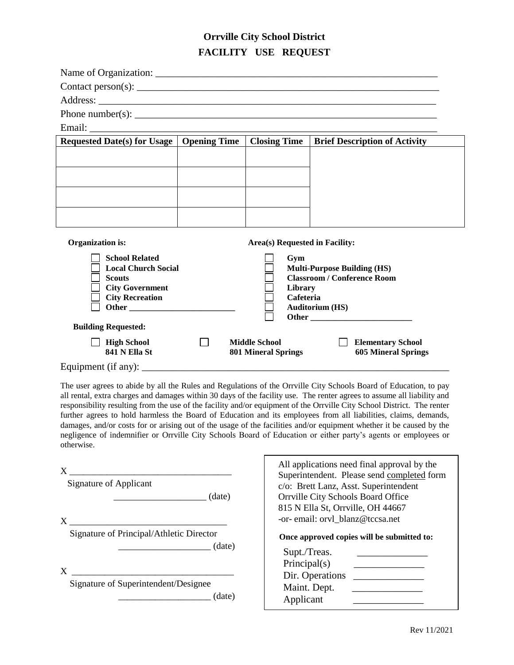## **Orrville City School District FACILITY USE REQUEST**

| Requested Date(s) for Usage   Opening Time                                               |  | <b>Closing Time</b>        | <b>Brief Description of Activity</b> |  |  |  |  |
|------------------------------------------------------------------------------------------|--|----------------------------|--------------------------------------|--|--|--|--|
|                                                                                          |  |                            |                                      |  |  |  |  |
|                                                                                          |  |                            |                                      |  |  |  |  |
|                                                                                          |  |                            |                                      |  |  |  |  |
|                                                                                          |  |                            |                                      |  |  |  |  |
|                                                                                          |  |                            |                                      |  |  |  |  |
|                                                                                          |  |                            |                                      |  |  |  |  |
| <b>Organization</b> is:<br>Area(s) Requested in Facility:                                |  |                            |                                      |  |  |  |  |
| <b>School Related</b>                                                                    |  | Gym                        |                                      |  |  |  |  |
| <b>Local Church Social</b><br><b>Multi-Purpose Building (HS)</b>                         |  |                            |                                      |  |  |  |  |
| <b>Classroom / Conference Room</b><br><b>Scouts</b><br><b>City Government</b><br>Library |  |                            |                                      |  |  |  |  |
| <b>City Recreation</b><br>Cafeteria                                                      |  |                            |                                      |  |  |  |  |
| <b>Auditorium (HS)</b>                                                                   |  |                            |                                      |  |  |  |  |
| <b>Building Requested:</b>                                                               |  |                            |                                      |  |  |  |  |
| <b>High School</b>                                                                       |  | <b>Middle School</b>       | <b>Elementary School</b>             |  |  |  |  |
| 841 N Ella St                                                                            |  | <b>801 Mineral Springs</b> | <b>605 Mineral Springs</b>           |  |  |  |  |
| Equipment (if any): $\overline{\phantom{a}}$                                             |  |                            |                                      |  |  |  |  |

The user agrees to abide by all the Rules and Regulations of the Orrville City Schools Board of Education, to pay all rental, extra charges and damages within 30 days of the facility use. The renter agrees to assume all liability and responsibility resulting from the use of the facility and/or equipment of the Orrville City School District. The renter further agrees to hold harmless the Board of Education and its employees from all liabilities, claims, demands, damages, and/or costs for or arising out of the usage of the facilities and/or equipment whether it be caused by the negligence of indemnifier or Orrville City Schools Board of Education or either party's agents or employees or otherwise.

| X<br><b>Signature of Applicant</b><br>(date)        | All applications need final approval by the<br>Superintendent. Please send completed form<br>c/o: Brett Lanz, Asst. Superintendent<br>Orrville City Schools Board Office |  |  |
|-----------------------------------------------------|--------------------------------------------------------------------------------------------------------------------------------------------------------------------------|--|--|
| X                                                   | 815 N Ella St, Orrville, OH 44667<br>-or- email: orvl_blanz@tccsa.net                                                                                                    |  |  |
| Signature of Principal/Athletic Director<br>(date)  | Once approved copies will be submitted to:<br>Supt./Treas.                                                                                                               |  |  |
| X<br>Signature of Superintendent/Designee<br>(date) | Principal(s)<br>Dir. Operations<br>Maint. Dept.<br>Applicant                                                                                                             |  |  |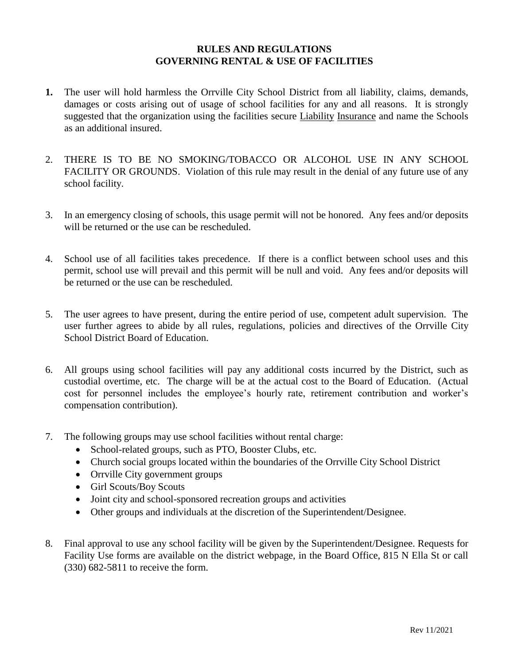#### **RULES AND REGULATIONS GOVERNING RENTAL & USE OF FACILITIES**

- **1.** The user will hold harmless the Orrville City School District from all liability, claims, demands, damages or costs arising out of usage of school facilities for any and all reasons. It is strongly suggested that the organization using the facilities secure Liability Insurance and name the Schools as an additional insured.
- 2. THERE IS TO BE NO SMOKING/TOBACCO OR ALCOHOL USE IN ANY SCHOOL FACILITY OR GROUNDS. Violation of this rule may result in the denial of any future use of any school facility.
- 3. In an emergency closing of schools, this usage permit will not be honored. Any fees and/or deposits will be returned or the use can be rescheduled.
- 4. School use of all facilities takes precedence. If there is a conflict between school uses and this permit, school use will prevail and this permit will be null and void. Any fees and/or deposits will be returned or the use can be rescheduled.
- 5. The user agrees to have present, during the entire period of use, competent adult supervision. The user further agrees to abide by all rules, regulations, policies and directives of the Orrville City School District Board of Education.
- 6. All groups using school facilities will pay any additional costs incurred by the District, such as custodial overtime, etc. The charge will be at the actual cost to the Board of Education. (Actual cost for personnel includes the employee's hourly rate, retirement contribution and worker's compensation contribution).
- 7. The following groups may use school facilities without rental charge:
	- School-related groups, such as PTO, Booster Clubs, etc.
	- Church social groups located within the boundaries of the Orrville City School District
	- Orrville City government groups
	- Girl Scouts/Boy Scouts
	- Joint city and school-sponsored recreation groups and activities
	- Other groups and individuals at the discretion of the Superintendent/Designee.
- 8. Final approval to use any school facility will be given by the Superintendent/Designee. Requests for Facility Use forms are available on the district webpage, in the Board Office, 815 N Ella St or call (330) 682-5811 to receive the form.